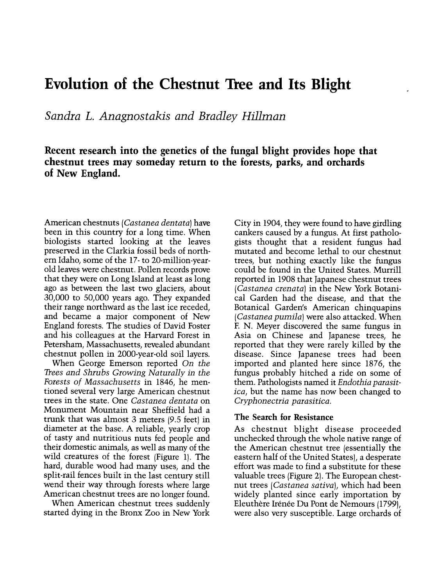# Evolution of the Chestnut Tree and Its Blight

Sandra L. Anagnostakis and Bradley Hillman

Recent research into the genetics of the fungal blight provides hope that chestnut trees may someday return to the forests, parks, and orchards of New England.

American chestnuts (Castanea dentata) have been in this country for a long time. When biologists started looking at the leaves preserved in the Clarkia fossil beds of northern Idaho, some of the 17- to 20-million-yearold leaves were chestnut. Pollen records prove that they were on Long Island at least as long ago as between the last two glaciers, about 30,000 to 50,000 years ago. They expanded their range northward as the last ice receded, and became a major component of New England forests. The studies of David Foster and his colleagues at the Harvard Forest in Petersham, Massachusetts, revealed abundant chestnut pollen in 2000-year-old soil layers.

When George Emerson reported On the Trees and Shrubs Growing Naturally in the Forests of Massachusetts in 1846, he mentioned several very large American chestnut trees in the state. One Castanea dentata on Monument Mountain near Sheffield had a trunk that was almost 3 meters (9.5 feet) in diameter at the base. A reliable, yearly crop of tasty and nutritious nuts fed people and their domestic animals, as well as many of the wild creatures of the forest (Figure 1). The hard, durable wood had many uses, and the split-rail fences built in the last century still wend their way through forests where large American chestnut trees are no longer found.<br>When American chestnut trees suddenly

started dying in the Bronx Zoo in New York

City in 1904, they were found to have girdling cankers caused by a fungus. At first pathologists thought that a resident fungus had mutated and become lethal to our chestnut trees, but nothing exactly like the fungus could be found in the United States. Murrill reported in 1908 that Japanese chestnut trees (Castanea crenata) in the New York Botanical Garden had the disease, and that the Botanical Garden's American chinquapins (Castanea pumila) were also attacked. When F. N. Meyer discovered the same fungus in Asia on Chinese and Japanese trees, he reported that they were rarely killed by the disease. Since Japanese trees had been imported and planted here since 1876, the fungus probably hitched a ride on some of them. Pathologists named it Endothia parasitica, but the name has now been changed to Cryphonectria parasitica.

#### The Search for Resistance

As chestnut blight disease proceeded unchecked through the whole native range of the American chestnut tree (essentially the eastern half of the United States), a desperate effort was made to find a substitute for these valuable trees (Figure 2). The European chestnut trees (Castanea sativa), which had been widely planted since early importation by Eleuthère Irénée Du Pont de Nemours (1799), were also very susceptible. Large orchards of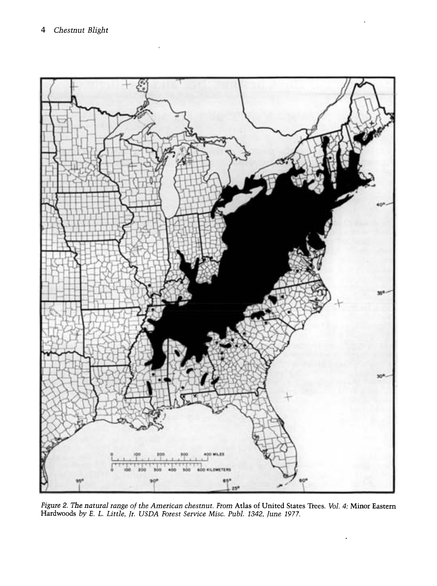

Figure 2. The natural range of the American chestnut. From Atlas of United States Trees. Vol. 4: Minor Eastern Hardwoods by E. L. Little, Jr. USDA Forest Service Misc. Publ. 1342, June 1977.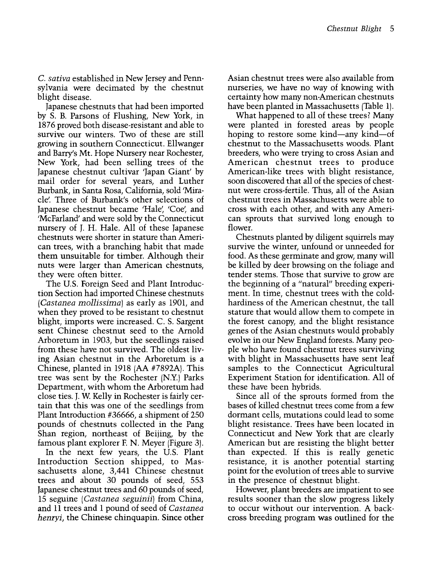C. sativa established in New Jersey and Pennsylvania were decimated by the chestnut blight disease.

Japanese chestnuts that had been imported by S. B. Parsons of Flushing, New York, in 1876 proved both disease-resistant and able to survive our winters. Two of these are still growing in southern Connecticut. Ellwanger and Barry's Mt. Hope Nursery near Rochester, New York, had been selling trees of the Japanese chestnut cultivar 'Japan Giant' by mail order for several years, and Luther Burbank, in Santa Rosa, California, sold 'Miracle'. Three of Burbank's other selections of Japanese chestnut became 'Hale', 'Coe', and 'McFarland' and were sold by the Connecticut nursery of J. H. Hale. All of these Japanese chestnuts were shorter in stature than American trees, with a branching habit that made them unsuitable for timber. Although their nuts were larger than American chestnuts, they were often bitter.

The U.S. Foreign Seed and Plant Introduction Section had imported Chinese chestnuts (Castanea mollissima) as early as 1901, and when they proved to be resistant to chestnut blight, imports were increased. C. S. Sargent sent Chinese chestnut seed to the Arnold Arboretum in 1903, but the seedlings raised from these have not survived. The oldest living Asian chestnut in the Arboretum is a Chinese, planted in 1918 (AA #7892A). This tree was sent by the Rochester (N.Y.) Parks Department, with whom the Arboretum had close ties. J. W Kelly in Rochester is fairly certain that this was one of the seedlings from Plant Introduction #36666, a shipment of 250 pounds of chestnuts collected in the Pang Shan region, northeast of Beijing, by the famous plant explorer F. N. Meyer (Figure 3).

In the next few years, the U.S. Plant Introduction Section shipped, to Massachusetts alone, 3,441 Chinese chestnut trees and about 30 pounds of seed, 553 Japanese chestnut trees and 60 pounds of seed, 15 seguine (Castanea seguinii) from China, and 11 trees and 1 pound of seed of Castanea henryi, the Chinese chinquapin. Since other

Asian chestnut trees were also available from nurseries, we have no way of knowing with certainty how many non-American chestnuts have been planted in Massachusetts (Table 1).

What happened to all of these trees? Many were planted in forested areas by people hoping to restore some kind—any kind—of chestnut to the Massachusetts woods. Plant breeders, who were trying to cross Asian and American chestnut trees to produce American-like trees with blight resistance, soon discovered that all of the species of chestnut were cross-fertile. Thus, all of the Asian chestnut trees in Massachusetts were able to cross with each other, and with any American sprouts that survived long enough to flower.

Chestnuts planted by diligent squirrels may survive the winter, unfound or unneeded for food. As these germinate and grow, many will be killed by deer browsing on the foliage and tender stems. Those that survive to grow are the beginning of a "natural" breeding experi ment. In time, chestnut trees with the coldhardiness of the American chestnut, the tall stature that would allow them to compete in the forest canopy, and the blight resistance genes of the Asian chestnuts would probably evolve in our New England forests. Many people who have found chestnut trees surviving with blight in Massachusetts have sent leaf samples to the Connecticut Agricultural Experiment Station for identification. All of these have been hybrids.

Since all of the sprouts formed from the bases of killed chestnut trees come from a few dormant cells, mutations could lead to some blight resistance. Trees have been located in Connecticut and New York that are clearly American but are resisting the blight better than expected. If this is really genetic resistance, it is another potential starting point for the evolution of trees able to survive in the presence of chestnut blight.

However, plant breeders are impatient to see to occur without our intervention. A backcross breeding program was outlined for the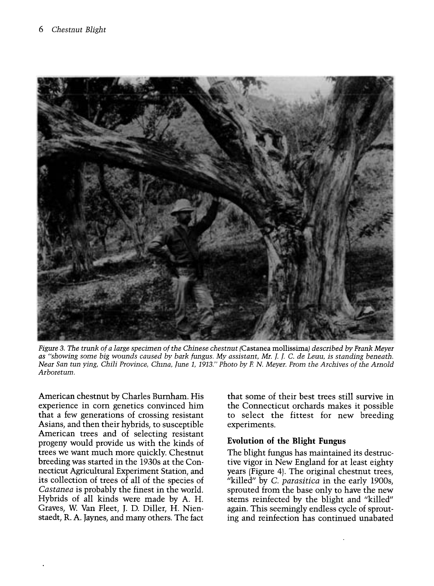

Figure 3. The trunk of a large specimen of the Chinese chestnut (Castanea mollissima) described by Frank Meyer as "showing some big wounds caused by bark fungus. My assistant, Mr. 1- 1- C. de Leuu, is standing beneath. Near San tun ying, Chili Province, Chma, June 1, 1913." Photo by F. N. Meyer. From the Archives of the Arnold Arboretum.

American chestnut by Charles Burnham. His experience in corn genetics convinced him that a few generations of crossing resistant<br>Asians, and then their hybrids, to susceptible American trees and of selecting resistant progeny would provide us with the kinds of trees we want much more quickly. Chestnut breeding was started in the 1930s at the Connecticut Agricultural Experiment Station, and its collection of trees of all of the species of Castanea is probably the finest in the world. Hybrids of all kinds were made by A. H. Graves, W Van Fleet, J. D. Diller, H. Nienstaedt, R. A. Jaynes, and many others. The fact

that some of their best trees still survive in the Connecticut orchards makes it possible to select the fittest for new breeding experiments.

## Evolution of the Blight Fungus

The blight fungus has maintained its destructive vigor in New England for at least eighty years (Figure 4). The original chestnut trees, "killed" by C. parasitica in the early 1900s, sprouted from the base only to have the new stems reinfected by the blight and "killed" again. This seemingly endless cycle of sprouting and reinfection has continued unabated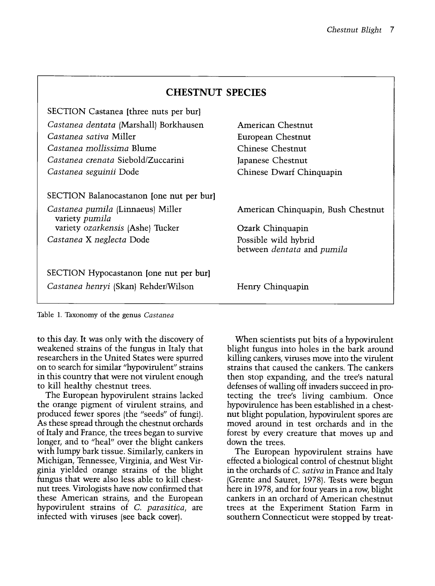| <b>CHESTNUT SPECIES</b>                                      |  |
|--------------------------------------------------------------|--|
|                                                              |  |
| American Chestnut                                            |  |
| European Chestnut                                            |  |
| Chinese Chestnut                                             |  |
| Japanese Chestnut                                            |  |
| Chinese Dwarf Chinquapin                                     |  |
| American Chinquapin, Bush Chestnut<br>Ozark Chinquapin       |  |
| Possible wild hybrid                                         |  |
| between <i>dentata</i> and <i>pumila</i><br>Henry Chinquapin |  |
|                                                              |  |

Table 1. Taxonomy of the genus Castanea

to this day. It was only with the discovery of weakened strains of the fungus in Italy that researchers in the United States were spurred on to search for similar "hypovirulent" strains in this country that were not virulent enough to kill healthy chestnut trees.

The European hypovirulent strains lacked the orange pigment of virulent strains, and produced fewer spores (the "seeds" of fungi). As these spread through the chestnut orchards of Italy and France, the trees began to survive longer, and to "heal" over the blight cankers with lumpy bark tissue. Similarly, cankers in Michigan, Tennessee, Virginia, and West Virginia yielded orange strains of the blight fungus that were also less able to kill chestnut trees. Virologists have now confirmed that these American strains, and the European hypovirulent strains of C. parasitica, are infected with viruses (see back cover).

When scientists put bits of a hypovirulent blight fungus into holes in the bark around killing cankers, viruses move into the virulent strains that caused the cankers. The cankers then stop expanding, and the tree's natural defenses of walling off invaders succeed in protecting the tree's living cambium. Once hypovirulence has been established in a chestnut blight population, hypovirulent spores are moved around in test orchards and in the forest by every creature that moves up and down the trees.

The European hypovirulent strains have effected a biological control of chestnut blight in the orchards of *C. sativa* in France and Italy (Grente and Sauret, 1978). Tests were begun here in 1978, and for four years in a row, blight cankers in an orchard of American chestnut trees at the Experiment Station Farm in southern Connecticut were stopped by treat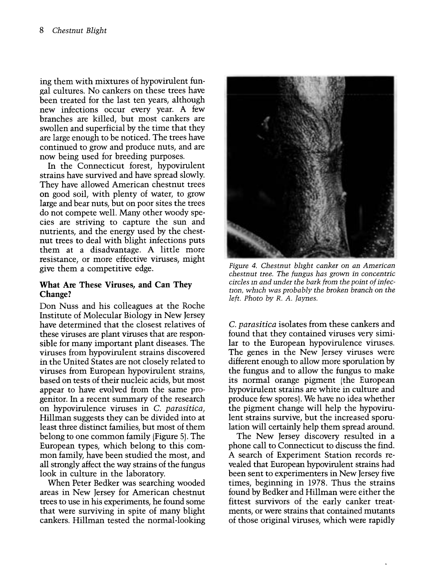ing them with mixtures of hypovirulent fungal cultures. No cankers on these trees have<br>been treated for the last ten years, although new infections occur every year. A few branches are killed, but most cankers are are large enough to be noticed. The trees have continued to grow and produce nuts, and are now being used for breeding purposes.

In the Connecticut forest, hypovirulent strains have survived and have spread slowly. They have allowed American chestnut trees on good soil, with plenty of water, to grow large and bear nuts, but on poor sites the trees do not compete well. Many other woody species are striving to capture the sun and nutrients, and the energy used by the chestnut trees to deal with blight infections puts them at a disadvantage. A little more resistance, or more effective viruses, might give them a competitive edge.

## What Are These Viruses, and Can They Change?

Don Nuss and his colleagues at the Roche Institute of Molecular Biology in New Jersey have determined that the closest relatives of these viruses are plant viruses that are responsible for many important plant diseases. The viruses from hypovirulent strains discovered in the United States are not closely related to viruses from European hypovirulent strains, based on tests of their nucleic acids, but most appear to have evolved from the same progenitor. In a recent summary of the research on hypovirulence viruses in C. parasitica, Hillman suggests they can be divided into at least three distinct families, but most of them belong to one common family (Figure 5). The European types, which belong to this common family, have been studied the most, and all strongly affect the way strains of the fungus look in culture in the laboratory.

When Peter Bedker was searching wooded areas in New Jersey for American chestnut trees to use in his experiments, he found some that were surviving in spite of many blight cankers. Hillman tested the normal-looking



Figure 4. Chestnut blight canker on an American chestnut tree. The fungus has grown in concentric circles m and under the bark from the point of infection, which was probably the broken branch on the left. Photo by R. A. Jaynes.

C. parasitica isolates from these cankers and found that they contained viruses very similar to the European hypovirulence viruses. The genes in the New Jersey viruses were different enough to allow more sporulation by the fungus and to allow the fungus to make its normal orange pigment (the European hypovirulent strains are white in culture and produce few spores). We have no idea whether the pigment change will help the hypovirulent strains survive, but the increased sporulation will certainly help them spread around.

The New Jersey discovery resulted in a phone call to Connecticut to discuss the find. A search of Experiment Station records revealed that European hypovirulent strains had been sent to experimenters in New Jersey five times, beginning in 1978. Thus the strains found by Bedker and Hillman were either the fittest survivors of the early canker treatments, or were strains that contained mutants of those original viruses, which were rapidly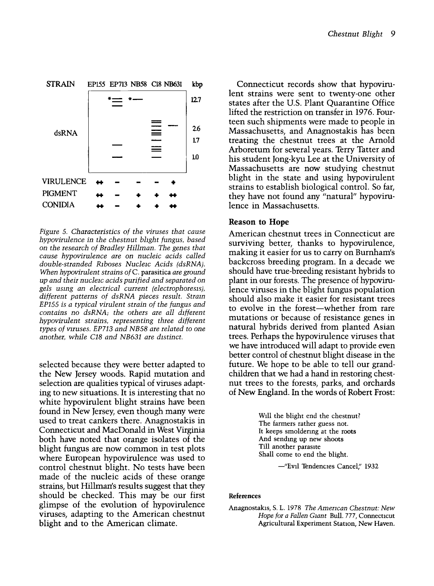

Figure 5. Characteristics of the viruses that cause hypovirulence in the chestnut blight fungus, based on the research of Bradley Hillman. The genes that cause hypovirulence are on nucleic acids called double-stranded Riboses Nucleic Acids (dsRNA). When hypovirulent strains of C. parasitica are ground up and their nucleic acids purified and separated on gels usmg an electrical current (electrophoresis), different patterns of dsRNA pieces result. Stram EP155 is a typical virulent strain of the fungus and contains no dsRNA; the others are all different hypovirulent strains, representing three different types of viruses. EP713 and NB58 are related to one another, while C18 and NB631 are distinct.

selected because they were better adapted to the New Jersey woods. Rapid mutation and selection are qualities typical of viruses adapting to new situations. It is interesting that no white hypovirulent blight strains have been found in New Jersey, even though many were used to treat cankers there. Anagnostakis in Connecticut and MacDonald in West Virginia both have noted that orange isolates of the blight fungus are now common in test plots where European hypovirulence was used to control chestnut blight. No tests have been made of the nucleic acids of these orange strains, but Hillman's results suggest that they should be checked. This may be our first glimpse of the evolution of hypovirulence viruses, adapting to the American chestnut blight and to the American climate.

Connecticut records show that hypovirulent strains were sent to twenty-one other states after the U.S. Plant Quarantine Office lifted the restriction on transfer in 1976. Fourteen such shipments were made to people in Massachusetts, and Anagnostakis has been treating the chestnut trees at the Arnold Arboretum for several years. Terry Tatter and his student Jong-kyu Lee at the University of Massachusetts are now studying chestnut blight in the state and using hypovirulent strains to establish biological control. So far, they have not found any "natural" hypovirulence in Massachusetts.

#### Reason to Hope

American chestnut trees in Connecticut are surviving better, thanks to hypovirulence, making it easier for us to carry on Burnham's backcross breeding program. In a decade we should have true-breeding resistant hybrids to plant in our forests. The presence of hypovirulence viruses in the blight fungus population should also make it easier for resistant trees to evolve in the forest-whether from rare mutations or because of resistance genes in natural hybrids derived from planted Asian trees. Perhaps the hypovirulence viruses that we have introduced will adapt to provide even better control of chestnut blight disease in the future. We hope to be able to tell our grandchildren that we had a hand in restoring chestnut trees to the forests, parks, and orchards of New England. In the words of Robert Frost:

> Will the blight end the chestnut? The farmers rather guess not. It keeps smoldering at the roots And sending up new shoots Till another parasite Shall come to end the blight.

> > -"Evil Tendencies Cancel," 1932

#### References

Anagnostakis, S. L. 1978 The Amencan Chestnut: New Hope for a Fallen Giant Bull. 777, Connecticut Agricultural Experiment Station, New Haven.